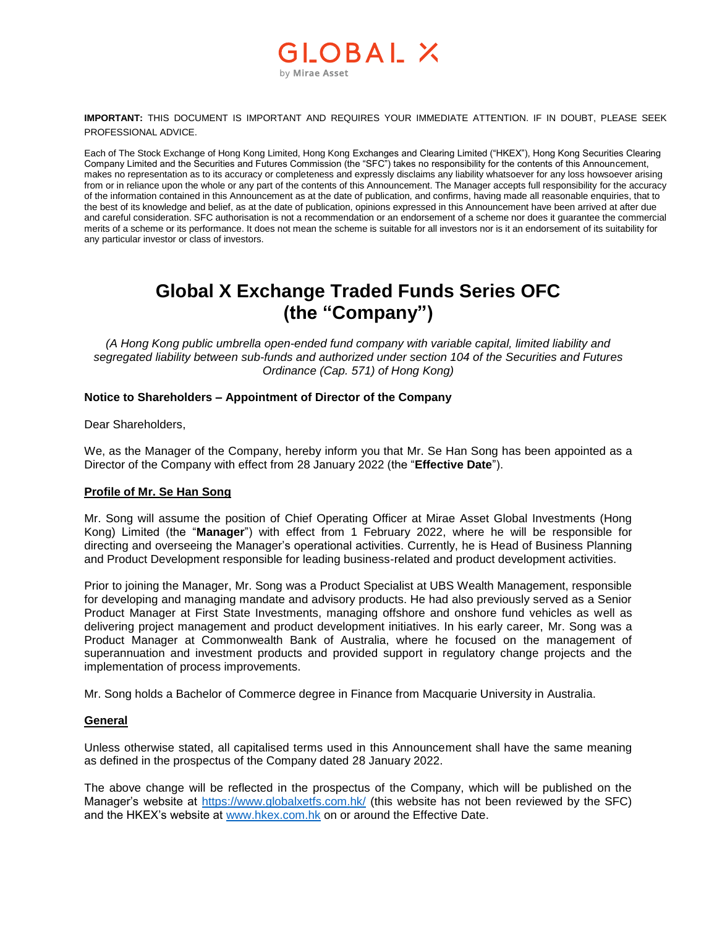## OBAL X by Mirae Asset

**IMPORTANT:** THIS DOCUMENT IS IMPORTANT AND REQUIRES YOUR IMMEDIATE ATTENTION. IF IN DOUBT, PLEASE SEEK PROFESSIONAL ADVICE.

Each of The Stock Exchange of Hong Kong Limited, Hong Kong Exchanges and Clearing Limited ("HKEX"), Hong Kong Securities Clearing Company Limited and the Securities and Futures Commission (the "SFC") takes no responsibility for the contents of this Announcement, makes no representation as to its accuracy or completeness and expressly disclaims any liability whatsoever for any loss howsoever arising from or in reliance upon the whole or any part of the contents of this Announcement. The Manager accepts full responsibility for the accuracy of the information contained in this Announcement as at the date of publication, and confirms, having made all reasonable enquiries, that to the best of its knowledge and belief, as at the date of publication, opinions expressed in this Announcement have been arrived at after due and careful consideration. SFC authorisation is not a recommendation or an endorsement of a scheme nor does it guarantee the commercial merits of a scheme or its performance. It does not mean the scheme is suitable for all investors nor is it an endorsement of its suitability for any particular investor or class of investors.

# **Global X Exchange Traded Funds Series OFC (the "Company")**

*(A Hong Kong public umbrella open-ended fund company with variable capital, limited liability and segregated liability between sub-funds and authorized under section 104 of the Securities and Futures Ordinance (Cap. 571) of Hong Kong)*

#### **Notice to Shareholders – Appointment of Director of the Company**

Dear Shareholders,

We, as the Manager of the Company, hereby inform you that Mr. Se Han Song has been appointed as a Director of the Company with effect from 28 January 2022 (the "**Effective Date**").

#### **Profile of Mr. Se Han Song**

Mr. Song will assume the position of Chief Operating Officer at Mirae Asset Global Investments (Hong Kong) Limited (the "**Manager**") with effect from 1 February 2022, where he will be responsible for directing and overseeing the Manager's operational activities. Currently, he is Head of Business Planning and Product Development responsible for leading business-related and product development activities.

Prior to joining the Manager, Mr. Song was a Product Specialist at UBS Wealth Management, responsible for developing and managing mandate and advisory products. He had also previously served as a Senior Product Manager at First State Investments, managing offshore and onshore fund vehicles as well as delivering project management and product development initiatives. In his early career, Mr. Song was a Product Manager at Commonwealth Bank of Australia, where he focused on the management of superannuation and investment products and provided support in regulatory change projects and the implementation of process improvements.

Mr. Song holds a Bachelor of Commerce degree in Finance from Macquarie University in Australia.

#### **General**

Unless otherwise stated, all capitalised terms used in this Announcement shall have the same meaning as defined in the prospectus of the Company dated 28 January 2022.

The above change will be reflected in the prospectus of the Company, which will be published on the Manager's website at<https://www.globalxetfs.com.hk/> (this website has not been reviewed by the SFC) and the HKEX's website at [www.hkex.com.hk](http://www.hkex.com.hk/) on or around the Effective Date.